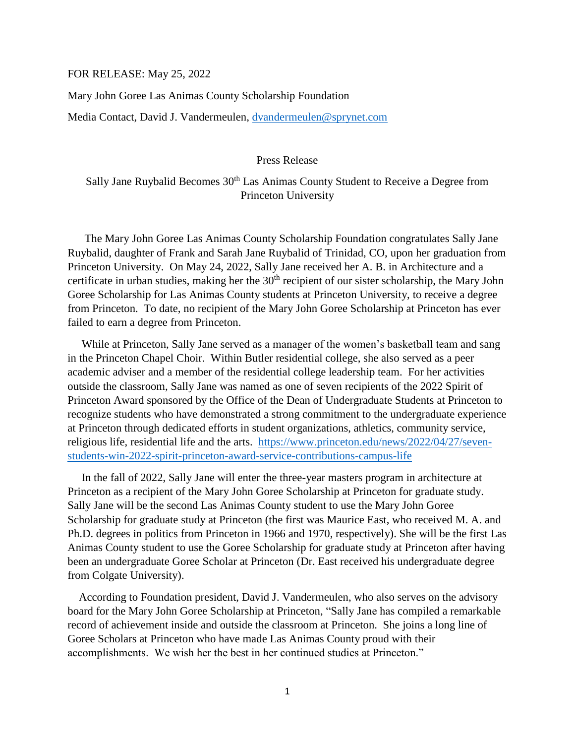## FOR RELEASE: May 25, 2022

Mary John Goree Las Animas County Scholarship Foundation

Media Contact, David J. Vandermeulen, [dvandermeulen@sprynet.com](mailto:dvandermeulen@sprynet.com)

Press Release

Sally Jane Ruybalid Becomes 30<sup>th</sup> Las Animas County Student to Receive a Degree from Princeton University

 The Mary John Goree Las Animas County Scholarship Foundation congratulates Sally Jane Ruybalid, daughter of Frank and Sarah Jane Ruybalid of Trinidad, CO, upon her graduation from Princeton University. On May 24, 2022, Sally Jane received her A. B. in Architecture and a certificate in urban studies, making her the  $30<sup>th</sup>$  recipient of our sister scholarship, the Mary John Goree Scholarship for Las Animas County students at Princeton University, to receive a degree from Princeton. To date, no recipient of the Mary John Goree Scholarship at Princeton has ever failed to earn a degree from Princeton.

 While at Princeton, Sally Jane served as a manager of the women's basketball team and sang in the Princeton Chapel Choir. Within Butler residential college, she also served as a peer academic adviser and a member of the residential college leadership team. For her activities outside the classroom, Sally Jane was named as one of seven recipients of the 2022 Spirit of Princeton Award sponsored by the Office of the Dean of Undergraduate Students at Princeton to recognize students who have demonstrated a strong commitment to the undergraduate experience at Princeton through dedicated efforts in student organizations, athletics, community service, religious life, residential life and the arts. [https://www.princeton.edu/news/2022/04/27/seven](https://www.princeton.edu/news/2022/04/27/seven-students-win-2022-spirit-princeton-award-service-contributions-campus-life)[students-win-2022-spirit-princeton-award-service-contributions-campus-life](https://www.princeton.edu/news/2022/04/27/seven-students-win-2022-spirit-princeton-award-service-contributions-campus-life)

 In the fall of 2022, Sally Jane will enter the three-year masters program in architecture at Princeton as a recipient of the Mary John Goree Scholarship at Princeton for graduate study. Sally Jane will be the second Las Animas County student to use the Mary John Goree Scholarship for graduate study at Princeton (the first was Maurice East, who received M. A. and Ph.D. degrees in politics from Princeton in 1966 and 1970, respectively). She will be the first Las Animas County student to use the Goree Scholarship for graduate study at Princeton after having been an undergraduate Goree Scholar at Princeton (Dr. East received his undergraduate degree from Colgate University).

 According to Foundation president, David J. Vandermeulen, who also serves on the advisory board for the Mary John Goree Scholarship at Princeton, "Sally Jane has compiled a remarkable record of achievement inside and outside the classroom at Princeton. She joins a long line of Goree Scholars at Princeton who have made Las Animas County proud with their accomplishments. We wish her the best in her continued studies at Princeton."